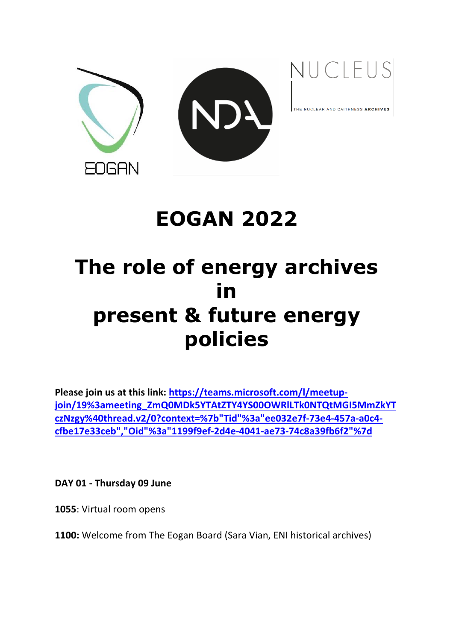



THE NUCLEAR AND CAITHNESS ARCHIVES

## **EOGAN 2022**

# **The role of energy archives in present & future energy policies**

**Please join us at this link: https://teams.microsoft.com/l/meetupjoin/19%3ameeting\_ZmQ0MDk5YTAtZTY4YS00OWRlLTk0NTQtMGI5MmZkYT czNzgy%40thread.v2/0?context=%7b"Tid"%3a"ee032e7f-73e4-457a-a0c4 cfbe17e33ceb","Oid"%3a"1199f9ef-2d4e-4041-ae73-74c8a39fb6f2"%7d**

**DAY 01 - Thursday 09 June**

**1055**: Virtual room opens

**1100:** Welcome from The Eogan Board (Sara Vian, ENI historical archives)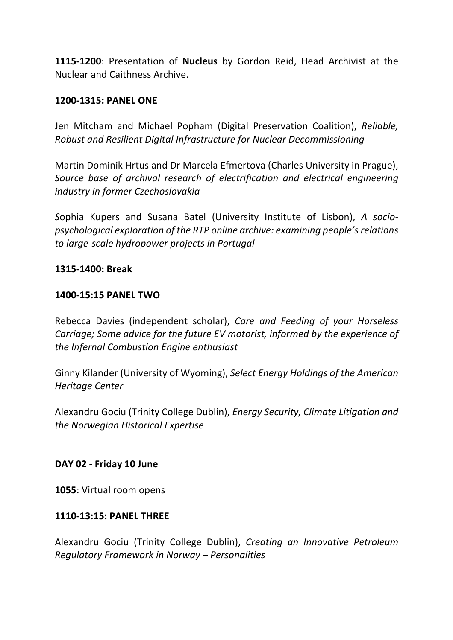**1115-1200**: Presentation of **Nucleus** by Gordon Reid, Head Archivist at the Nuclear and Caithness Archive.

#### **1200-1315: PANEL ONE**

Jen Mitcham and Michael Popham (Digital Preservation Coalition), *Reliable, Robust and Resilient Digital Infrastructure for Nuclear Decommissioning*

Martin Dominik Hrtus and Dr Marcela Efmertova (Charles University in Prague), *Source base of archival research of electrification and electrical engineering industry in former Czechoslovakia*

*S*ophia Kupers and Susana Batel (University Institute of Lisbon), *A sociopsychological exploration of the RTP online archive: examining people's relations to large-scale hydropower projects in Portugal*

#### **1315-1400: Break**

#### **1400-15:15 PANEL TWO**

Rebecca Davies (independent scholar), *Care and Feeding of your Horseless Carriage; Some advice for the future EV motorist, informed by the experience of the Infernal Combustion Engine enthusiast*

Ginny Kilander (University of Wyoming), *Select Energy Holdings of the American Heritage Center*

Alexandru Gociu (Trinity College Dublin), *Energy Security, Climate Litigation and the Norwegian Historical Expertise* 

#### **DAY 02 - Friday 10 June**

**1055**: Virtual room opens

#### **1110-13:15: PANEL THREE**

Alexandru Gociu (Trinity College Dublin), *Creating an Innovative Petroleum Regulatory Framework in Norway – Personalities*